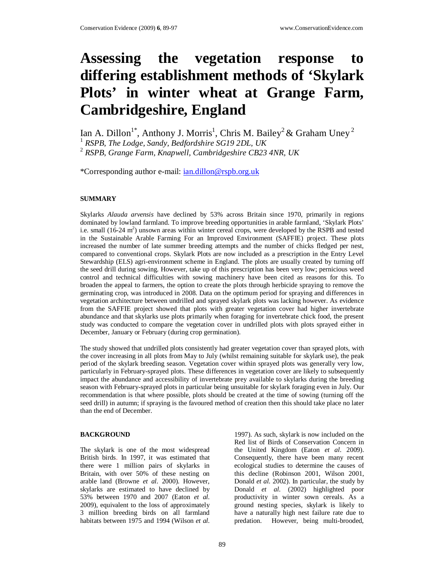# **Assessing the vegetation response to differing establishment methods of 'Skylark Plots' in winter wheat at Grange Farm, Cambridgeshire, England**

Ian A. Dillon $^{1*}$ , Anthony J. Morris<sup>1</sup>, Chris M. Bailey<sup>2</sup> & Graham Uney<sup>2</sup>

1 *RSPB, The Lodge, Sandy, Bedfordshire SG19 2DL, UK* 

2 *RSPB, Grange Farm, Knapwell, Cambridgeshire CB23 4NR, UK*

\*Corresponding author e-mail: ian.dillon@rspb.org.uk

# **SUMMARY**

Skylarks *Alauda arvensis* have declined by 53% across Britain since 1970, primarily in regions dominated by lowland farmland. To improve breeding opportunities in arable farmland, 'Skylark Plots' i.e. small  $(16-24 \text{ m}^2)$  unsown areas within winter cereal crops, were developed by the RSPB and tested in the Sustainable Arable Farming For an Improved Environment (SAFFIE) project. These plots increased the number of late summer breeding attempts and the number of chicks fledged per nest, compared to conventional crops. Skylark Plots are now included as a prescription in the Entry Level Stewardship (ELS) agri-environment scheme in England. The plots are usually created by turning off the seed drill during sowing. However, take up of this prescription has been very low; pernicious weed control and technical difficulties with sowing machinery have been cited as reasons for this. To broaden the appeal to farmers, the option to create the plots through herbicide spraying to remove the germinating crop, was introduced in 2008. Data on the optimum period for spraying and differences in vegetation architecture between undrilled and sprayed skylark plots was lacking however. As evidence from the SAFFIE project showed that plots with greater vegetation cover had higher invertebrate abundance and that skylarks use plots primarily when foraging for invertebrate chick food, the present study was conducted to compare the vegetation cover in undrilled plots with plots sprayed either in December, January or February (during crop germination).

The study showed that undrilled plots consistently had greater vegetation cover than sprayed plots, with the cover increasing in all plots from May to July (whilst remaining suitable for skylark use), the peak period of the skylark breeding season. Vegetation cover within sprayed plots was generally very low, particularly in February-sprayed plots. These differences in vegetation cover are likely to subsequently impact the abundance and accessibility of invertebrate prey available to skylarks during the breeding season with February-sprayed plots in particular being unsuitable for skylark foraging even in July. Our recommendation is that where possible, plots should be created at the time of sowing (turning off the seed drill) in autumn; if spraying is the favoured method of creation then this should take place no later than the end of December.

### **BACKGROUND**

The skylark is one of the most widespread British birds. In 1997, it was estimated that there were 1 million pairs of skylarks in Britain, with over 50% of these nesting on arable land (Browne *et al.* 2000). However, skylarks are estimated to have declined by 53% between 1970 and 2007 (Eaton *et al.* 2009), equivalent to the loss of approximately 3 million breeding birds on all farmland habitats between 1975 and 1994 (Wilson *et al.*

1997). As such, skylark is now included on the Red list of Birds of Conservation Concern in the United Kingdom (Eaton *et al.* 2009). Consequently, there have been many recent ecological studies to determine the causes of this decline (Robinson 2001, Wilson 2001, Donald *et al.* 2002). In particular, the study by Donald *et al.* (2002) highlighted poor productivity in winter sown cereals. As a ground nesting species, skylark is likely to have a naturally high nest failure rate due to predation. However, being multi-brooded,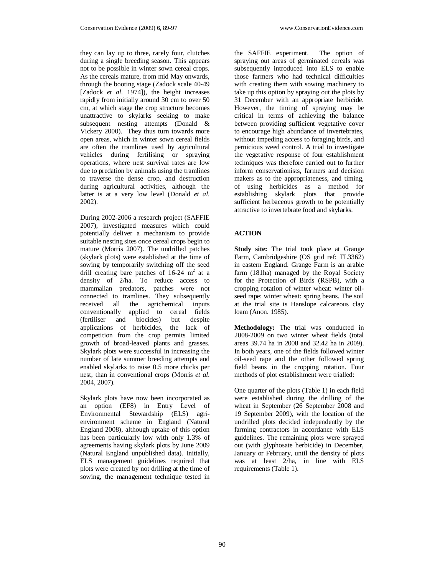they can lay up to three, rarely four, clutches during a single breeding season. This appears not to be possible in winter sown cereal crops. As the cereals mature, from mid May onwards, through the booting stage (Zadock scale 40-49 [Zadock *et al.* 1974]), the height increases rapidly from initially around 30 cm to over 50 cm, at which stage the crop structure becomes unattractive to skylarks seeking to make subsequent nesting attempts (Donald & Vickery 2000). They thus turn towards more open areas, which in winter sown cereal fields are often the tramlines used by agricultural vehicles during fertilising or spraying operations, where nest survival rates are low due to predation by animals using the tramlines to traverse the dense crop, and destruction during agricultural activities, although the latter is at a very low level (Donald *et al.* 2002).

During 2002-2006 a research project (SAFFIE 2007), investigated measures which could potentially deliver a mechanism to provide suitable nesting sites once cereal crops begin to mature (Morris 2007). The undrilled patches (skylark plots) were established at the time of sowing by temporarily switching off the seed drill creating bare patches of  $16-24$  m<sup>2</sup> at a density of 2/ha. To reduce access to mammalian predators, patches were not connected to tramlines. They subsequently received all the agrichemical inputs conventionally applied to cereal fields (fertiliser and biocides) but despite applications of herbicides, the lack of competition from the crop permits limited growth of broad-leaved plants and grasses. Skylark plots were successful in increasing the number of late summer breeding attempts and enabled skylarks to raise 0.5 more chicks per nest, than in conventional crops (Morris *et al.* 2004, 2007).

Skylark plots have now been incorporated as an option (EF8) in Entry Level of Environmental Stewardship (ELS) agrienvironment scheme in England (Natural England 2008), although uptake of this option has been particularly low with only 1.3% of agreements having skylark plots by June 2009 (Natural England unpublished data). Initially, ELS management guidelines required that plots were created by not drilling at the time of sowing, the management technique tested in

the SAFFIE experiment. The option of spraying out areas of germinated cereals was subsequently introduced into ELS to enable those farmers who had technical difficulties with creating them with sowing machinery to take up this option by spraying out the plots by 31 December with an appropriate herbicide. However, the timing of spraying may be critical in terms of achieving the balance between providing sufficient vegetative cover to encourage high abundance of invertebrates, without impeding access to foraging birds, and pernicious weed control. A trial to investigate the vegetative response of four establishment techniques was therefore carried out to further inform conservationists, farmers and decision makers as to the appropriateness, and timing, of using herbicides as a method for establishing skylark plots that provide sufficient herbaceous growth to be potentially attractive to invertebrate food and skylarks.

# **ACTION**

**Study site:** The trial took place at Grange Farm, Cambridgeshire (OS grid ref: TL3362) in eastern England. Grange Farm is an arable farm (181ha) managed by the Royal Society for the Protection of Birds (RSPB), with a cropping rotation of winter wheat: winter oilseed rape: winter wheat: spring beans. The soil at the trial site is Hanslope calcareous clay loam (Anon. 1985).

**Methodology:** The trial was conducted in 2008-2009 on two winter wheat fields (total areas 39.74 ha in 2008 and 32.42 ha in 2009). In both years, one of the fields followed winter oil-seed rape and the other followed spring field beans in the cropping rotation. Four methods of plot establishment were trialled:

One quarter of the plots (Table 1) in each field were established during the drilling of the wheat in September (26 September 2008 and 19 September 2009), with the location of the undrilled plots decided independently by the farming contractors in accordance with ELS guidelines. The remaining plots were sprayed out (with glyphosate herbicide) in December, January or February, until the density of plots was at least 2/ha, in line with ELS requirements (Table 1).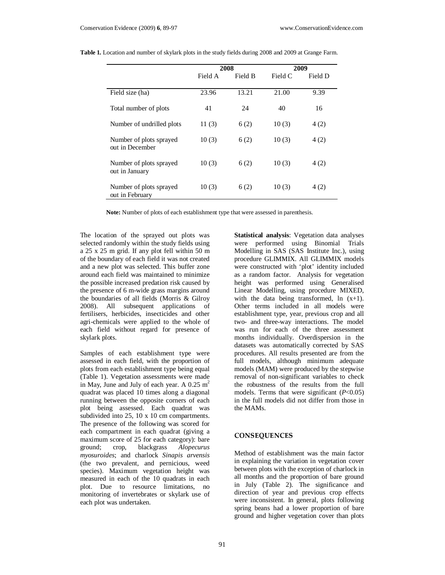|                                            |         | 2008    |         | 2009    |
|--------------------------------------------|---------|---------|---------|---------|
|                                            | Field A | Field B | Field C | Field D |
| Field size (ha)                            | 23.96   | 13.21   | 21.00   | 9.39    |
| Total number of plots                      | 41      | 24      | 40      | 16      |
| Number of undrilled plots                  | 11(3)   | 6(2)    | 10(3)   | 4(2)    |
| Number of plots sprayed<br>out in December | 10(3)   | 6(2)    | 10(3)   | 4(2)    |
| Number of plots sprayed<br>out in January  | 10(3)   | 6(2)    | 10(3)   | 4(2)    |
| Number of plots sprayed<br>out in February | 10(3)   | 6(2)    | 10(3)   | 4(2)    |

| Table 1. Location and number of skylark plots in the study fields during 2008 and 2009 at Grange Farm. |  |  |  |
|--------------------------------------------------------------------------------------------------------|--|--|--|
|                                                                                                        |  |  |  |

**Note:** Number of plots of each establishment type that were assessed in parenthesis.

The location of the sprayed out plots was selected randomly within the study fields using a 25 x 25 m grid. If any plot fell within 50 m of the boundary of each field it was not created and a new plot was selected. This buffer zone around each field was maintained to minimize the possible increased predation risk caused by the presence of 6 m-wide grass margins around the boundaries of all fields (Morris & Gilroy 2008). All subsequent applications of fertilisers, herbicides, insecticides and other agri-chemicals were applied to the whole of each field without regard for presence of skylark plots.

Samples of each establishment type were assessed in each field, with the proportion of plots from each establishment type being equal (Table 1). Vegetation assessments were made in May, June and July of each year. A  $0.25 \text{ m}^2$ quadrat was placed 10 times along a diagonal running between the opposite corners of each plot being assessed. Each quadrat was subdivided into 25, 10 x 10 cm compartments. The presence of the following was scored for each compartment in each quadrat (giving a maximum score of 25 for each category): bare ground; crop, blackgrass *Alopecurus myosuroides*; and charlock *Sinapis arvensis*  (the two prevalent, and pernicious, weed species). Maximum vegetation height was measured in each of the 10 quadrats in each plot. Due to resource limitations, no monitoring of invertebrates or skylark use of each plot was undertaken.

**Statistical analysis**: Vegetation data analyses were performed using Binomial Trials Modelling in SAS (SAS Institute Inc.), using procedure GLIMMIX. All GLIMMIX models were constructed with 'plot' identity included as a random factor. Analysis for vegetation height was performed using Generalised Linear Modelling, using procedure MIXED, with the data being transformed,  $\ln(x+1)$ . Other terms included in all models were establishment type, year, previous crop and all two- and three-way interactions. The model was run for each of the three assessment months individually. Overdispersion in the datasets was automatically corrected by SAS procedures. All results presented are from the full models, although minimum adequate models (MAM) were produced by the stepwise removal of non-significant variables to check the robustness of the results from the full models. Terms that were significant (*P*<0.05) in the full models did not differ from those in the MAMs.

# **CONSEQUENCES**

Method of establishment was the main factor in explaining the variation in vegetation cover between plots with the exception of charlock in all months and the proportion of bare ground in July (Table 2). The significance and direction of year and previous crop effects were inconsistent. In general, plots following spring beans had a lower proportion of bare ground and higher vegetation cover than plots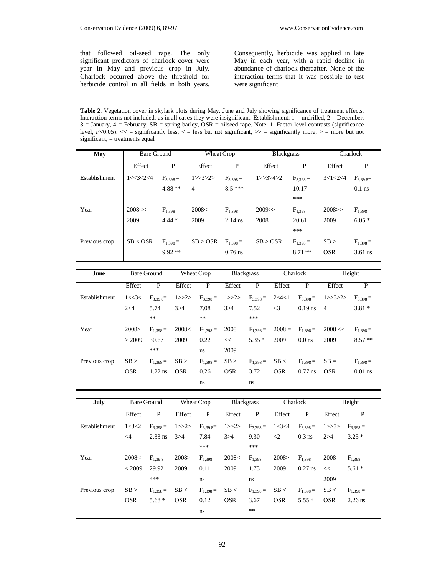that followed oil-seed rape. The only significant predictors of charlock cover were year in May and previous crop in July. Charlock occurred above the threshold for herbicide control in all fields in both years. Consequently, herbicide was applied in late May in each year, with a rapid decline in abundance of charlock thereafter. None of the interaction terms that it was possible to test were significant.

**Table 2.** Vegetation cover in skylark plots during May, June and July showing significance of treatment effects. Interaction terms not included, as in all cases they were insignificant. Establishment:  $1 =$  undrilled,  $2 =$  December,  $3 =$  January,  $4 =$  February.  $SB =$  spring barley,  $OSR =$  oilseed rape. Note: 1. Factor-level contrasts (significance level,  $P<0.05$ : << = significantly less, < = less but not significant, >> = significantly more, > = more but not significant, = treatments equal

| May           | <b>Bare Ground</b> |                    |                            | Wheat Crop    |               |                   | <b>Blackgrass</b> |                                  |                               | Charlock      |  |
|---------------|--------------------|--------------------|----------------------------|---------------|---------------|-------------------|-------------------|----------------------------------|-------------------------------|---------------|--|
|               | Effect             |                    | P                          | Effect        | $\mathbf{P}$  |                   | Effect            | $\mathbf{P}$                     | Effect                        | P             |  |
| Establishment | 1 < 3 < 2 < 4      |                    | $F_{3,398} =$              | 1>>3>2>       | $F_{3,398} =$ | 1>>3>>4>2         |                   | $F_{3,398} =$                    | $3 < 1 < 2 < 4$ $F_{3,398} =$ |               |  |
|               |                    |                    | $4.88**$<br>$\overline{4}$ |               | $8.5***$      |                   |                   | 10.17                            |                               | $0.1$ ns      |  |
|               |                    |                    |                            |               |               |                   |                   | ***                              |                               |               |  |
| Year          | 2008<<             |                    | $F_{1,398} =$              | 2008<         | $F_{1,398} =$ | $2009$ >>         |                   | $F_{1,398} =$                    | 2008>>                        | $F_{1,398} =$ |  |
|               | 2009               | $4.44*$            |                            | 2009          | $2.14$ ns     | 2008              |                   | 20.61                            | 2009                          | $6.05*$       |  |
|               |                    |                    |                            |               |               |                   |                   | ***                              |                               |               |  |
| Previous crop | SB < OSR           |                    | $F_{1,398} =$              | SB > OSR      | $F_{1,398} =$ | SB > OSR          |                   | $F_{1,398} =$                    | SB >                          | $F_{1,398} =$ |  |
|               |                    |                    | $9.92**$                   |               | $0.76$ ns     |                   |                   | $8.71**$                         | <b>OSR</b>                    | $3.61$ ns     |  |
|               |                    |                    |                            |               |               |                   |                   |                                  |                               |               |  |
| June          |                    | <b>Bare Ground</b> |                            | Wheat Crop    |               | <b>Blackgrass</b> |                   | Charlock                         |                               | Height        |  |
|               | Effect             | P                  | Effect                     | P             | Effect        | P                 | Effect            | P                                | Effect                        | P             |  |
| Establishment | 1 < 3 <            | $F_{3,39,8} =$     | 1>>2>                      | $F_{3,398} =$ | 1>>2>         | $F_{3,398} =$     |                   | $2<4<1$ $F_{3,398}=$             | 1>>3>2>                       | $F_{3,398} =$ |  |
|               | 2<4                | 5.74               | 3 > 4                      | 7.08          | 3 > 4         | 7.52              | $\leq$ 3          | $0.19$ ns                        | $\overline{4}$                | $3.81*$       |  |
|               |                    | $**$               |                            | **            |               | ***               |                   |                                  |                               |               |  |
| Year          | 2008 >             | $F_{1,398} =$      | 2008<                      | $F_{1,398} =$ | 2008          |                   |                   | $F_{1,398} = 2008 = F_{1,398} =$ | 2008 <<                       | $F_{1,398} =$ |  |
|               | > 2009             | 30.67              | 2009                       | 0.22          | <<            | $5.35*$           | 2009              | $0.0$ ns                         | 2009                          | $8.57**$      |  |

|                                                                                                                                   | *** | ns | 2009 |  |  |  |
|-----------------------------------------------------------------------------------------------------------------------------------|-----|----|------|--|--|--|
| Previous crop $\begin{vmatrix} SB > & F_{1,398} = & SB > & F_{1,398} = & SB < & F_{1,398} = & SB < & F_{1,398} = & \end{vmatrix}$ |     |    |      |  |  |  |
|                                                                                                                                   |     |    |      |  |  |  |
|                                                                                                                                   |     |    |      |  |  |  |

| July          |        | Bare Ground Wheat Crop |        |                      |        | <b>Blackgrass</b>           |            | Charlock                                                                                                                                                                                                                                                 |            | Height        |
|---------------|--------|------------------------|--------|----------------------|--------|-----------------------------|------------|----------------------------------------------------------------------------------------------------------------------------------------------------------------------------------------------------------------------------------------------------------|------------|---------------|
|               | Effect | $-$ P                  | Effect | P                    | Effect | P                           | Effect     | P                                                                                                                                                                                                                                                        | Effect     | P             |
| Establishment |        |                        |        |                      |        |                             |            |                                                                                                                                                                                                                                                          |            |               |
|               |        |                        |        |                      |        |                             |            | 1<3<2 $F_{3,398} = 1$ >>2> $F_{3,398} = 1$ >>2> $F_{3,398} = 1$ <3<4 $F_{3,398} = 1$ >>3> $F_{3,398} = 2.33$ ns 3>4 7.84 3>4 9.30 <2 0.3 ns 2>4 3.25 *                                                                                                   |            |               |
|               |        |                        |        |                      |        |                             |            |                                                                                                                                                                                                                                                          |            |               |
| Year          |        |                        |        |                      |        |                             |            | $\begin{array}{ l ccccccccccc }\hline 2008<{\quad} & F_{1,398} = & 2008>{\quad} & F_{1,398} = & 2008<{\quad} & F_{1,398} = & 2008 & F_{1,398} = & 2008 \ & <2009 & 29.92 & 2009 & 0.11 & 2009 & 1.73 & 2009 & 0.27 \,\text{ns} & < & \hline \end{array}$ |            | $F_{1,398} =$ |
|               |        |                        |        |                      |        |                             |            | $2009$ 0.27 ns <<                                                                                                                                                                                                                                        |            | $5.61*$       |
|               |        | ***                    |        | ns                   |        | ns                          |            |                                                                                                                                                                                                                                                          | 2009       |               |
| Previous crop |        | $SB > F_{1,398} =$     |        | $SB <$ $F_{1,398} =$ |        | $SB <$ $F_{1,398} =$ $SB <$ |            | $F_{1,398} =$                                                                                                                                                                                                                                            | SB <       | $F_{1,398} =$ |
|               |        | OSR $5.68*$ OSR        |        | 0.12                 | OSR    | 3.67                        | <b>OSR</b> | $5.55*$                                                                                                                                                                                                                                                  | <b>OSR</b> | $2.26$ ns     |
|               |        |                        |        | ns                   |        | $***$                       |            |                                                                                                                                                                                                                                                          |            |               |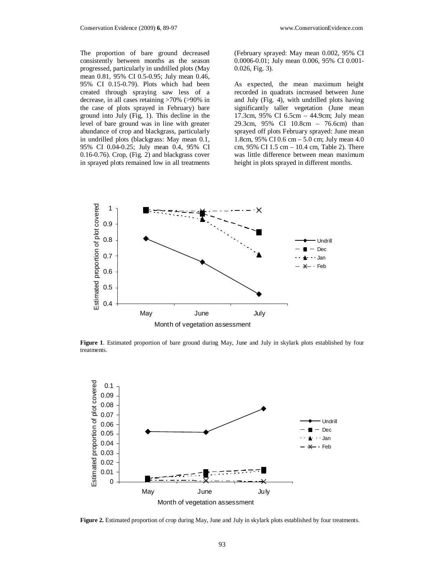The proportion of bare ground decreased consistently between months as the season progressed, particularly in undrilled plots (May mean 0.81, 95% CI 0.5-0.95; July mean 0.46, 95% CI 0.15-0.79). Plots which had been created through spraying saw less of a decrease, in all cases retaining >70% (>90% in the case of plots sprayed in February) bare ground into July (Fig, 1). This decline in the level of bare ground was in line with greater abundance of crop and blackgrass, particularly in undrilled plots (blackgrass: May mean 0.1, 95% CI 0.04-0.25; July mean 0.4, 95% CI 0.16-0.76). Crop, (Fig. 2) and blackgrass cover in sprayed plots remained low in all treatments

(February sprayed: May mean 0.002, 95% CI 0.0006-0.01; July mean 0.006, 95% CI 0.001- 0.026, Fig. 3).

As expected, the mean maximum height recorded in quadrats increased between June and July (Fig. 4), with undrilled plots having significantly taller vegetation (June mean 17.3cm, 95% CI 6.5cm – 44.9cm; July mean 29.3cm, 95% CI 10.8cm – 76.6cm) than sprayed off plots February sprayed: June mean 1.8cm, 95% CI 0.6 cm – 5.0 cm; July mean 4.0 cm, 95% CI 1.5 cm – 10.4 cm, Table 2). There was little difference between mean maximum height in plots sprayed in different months.



**Figure 1**. Estimated proportion of bare ground during May, June and July in skylark plots established by four treatments.



**Figure 2.** Estimated proportion of crop during May, June and July in skylark plots established by four treatments.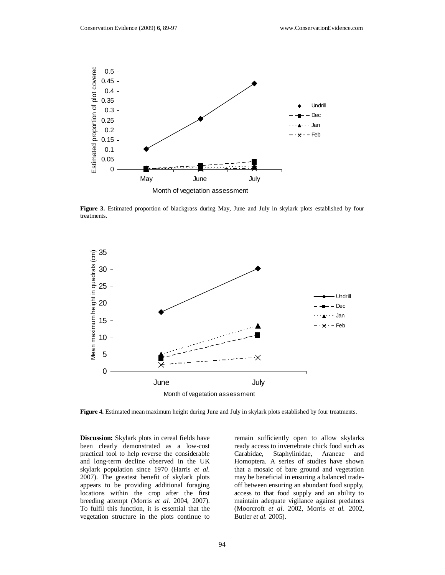

**Figure 3.** Estimated proportion of blackgrass during May, June and July in skylark plots established by four treatments.



**Figure 4.** Estimated mean maximum height during June and July in skylark plots established by four treatments.

**Discussion:** Skylark plots in cereal fields have been clearly demonstrated as a low-cost practical tool to help reverse the considerable and long-term decline observed in the UK skylark population since 1970 (Harris *et al.* 2007). The greatest benefit of skylark plots appears to be providing additional foraging locations within the crop after the first breeding attempt (Morris *et al.* 2004, 2007). To fulfil this function, it is essential that the vegetation structure in the plots continue to

remain sufficiently open to allow skylarks ready access to invertebrate chick food such as Carabidae, Staphylinidae, Araneae and Homoptera. A series of studies have shown that a mosaic of bare ground and vegetation may be beneficial in ensuring a balanced tradeoff between ensuring an abundant food supply, access to that food supply and an ability to maintain adequate vigilance against predators (Moorcroft *et al*. 2002, Morris *et al.* 2002, Butler *et al.* 2005).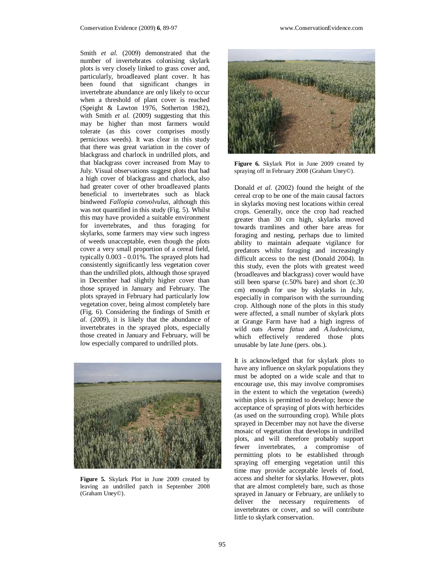Smith *et al.* (2009) demonstrated that the number of invertebrates colonising skylark plots is very closely linked to grass cover and, particularly, broadleaved plant cover. It has been found that significant changes in invertebrate abundance are only likely to occur when a threshold of plant cover is reached (Speight & Lawton 1976, Sotherton 1982), with Smith *et al.* (2009) suggesting that this may be higher than most farmers would tolerate (as this cover comprises mostly pernicious weeds). It was clear in this study that there was great variation in the cover of blackgrass and charlock in undrilled plots, and that blackgrass cover increased from May to July. Visual observations suggest plots that had a high cover of blackgrass and charlock, also had greater cover of other broadleaved plants beneficial to invertebrates such as black bindweed *Fallopia convolvulus*, although this was not quantified in this study (Fig. 5). Whilst this may have provided a suitable environment for invertebrates, and thus foraging for skylarks, some farmers may view such ingress of weeds unacceptable, even though the plots cover a very small proportion of a cereal field, typically 0.003 - 0.01%. The sprayed plots had consistently significantly less vegetation cover than the undrilled plots, although those sprayed in December had slightly higher cover than those sprayed in January and February. The plots sprayed in February had particularly low vegetation cover, being almost completely bare (Fig. 6). Considering the findings of Smith *et al.* (2009), it is likely that the abundance of invertebrates in the sprayed plots, especially those created in January and February, will be low especially compared to undrilled plots.



**Figure 5.** Skylark Plot in June 2009 created by leaving an undrilled patch in September 2008 (Graham Uney©).



**Figure 6.** Skylark Plot in June 2009 created by spraying off in February 2008 (Graham Uney©).

Donald *et al.* (2002) found the height of the cereal crop to be one of the main causal factors in skylarks moving nest locations within cereal crops. Generally, once the crop had reached greater than 30 cm high, skylarks moved towards tramlines and other bare areas for foraging and nesting, perhaps due to limited ability to maintain adequate vigilance for predators whilst foraging and increasingly difficult access to the nest (Donald 2004). In this study, even the plots with greatest weed (broadleaves and blackgrass) cover would have still been sparse (c.50% bare) and short (c.30 cm) enough for use by skylarks in July, especially in comparison with the surrounding crop. Although none of the plots in this study were affected, a small number of skylark plots at Grange Farm have had a high ingress of wild oats *Avena fatua* and *A.ludoviciana*, which effectively rendered those plots unusable by late June (pers. obs.).

It is acknowledged that for skylark plots to have any influence on skylark populations they must be adopted on a wide scale and that to encourage use, this may involve compromises in the extent to which the vegetation (weeds) within plots is permitted to develop; hence the acceptance of spraying of plots with herbicides (as used on the surrounding crop). While plots sprayed in December may not have the diverse mosaic of vegetation that develops in undrilled plots, and will therefore probably support fewer invertebrates, a compromise of permitting plots to be established through spraying off emerging vegetation until this time may provide acceptable levels of food, access and shelter for skylarks. However, plots that are almost completely bare, such as those sprayed in January or February, are unlikely to deliver the necessary requirements of invertebrates or cover, and so will contribute little to skylark conservation.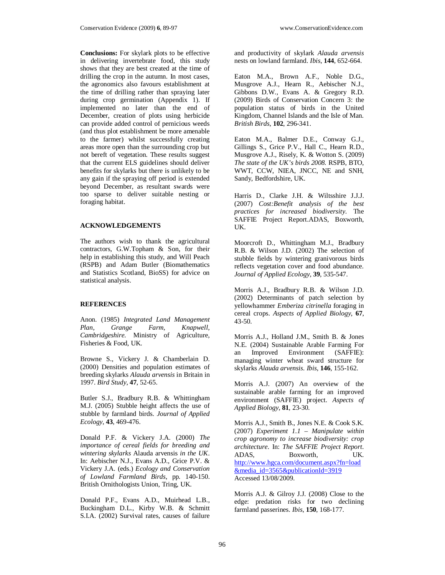**Conclusions:** For skylark plots to be effective in delivering invertebrate food, this study shows that they are best created at the time of drilling the crop in the autumn. In most cases, the agronomics also favours establishment at the time of drilling rather than spraying later during crop germination (Appendix 1). If implemented no later than the end of December, creation of plots using herbicide can provide added control of pernicious weeds (and thus plot establishment be more amenable to the farmer) whilst successfully creating areas more open than the surrounding crop but not bereft of vegetation. These results suggest that the current ELS guidelines should deliver benefits for skylarks but there is unlikely to be any gain if the spraying off period is extended beyond December, as resultant swards were too sparse to deliver suitable nesting or foraging habitat.

#### **ACKNOWLEDGEMENTS**

The authors wish to thank the agricultural contractors, G.W.Topham & Son, for their help in establishing this study, and Will Peach (RSPB) and Adam Butler (Biomathematics and Statistics Scotland, BioSS) for advice on statistical analysis.

## **REFERENCES**

Anon. (1985) *Integrated Land Management Plan, Grange Farm, Knapwell, Cambridgeshire.* Ministry of Agriculture, Fisheries & Food, UK.

Browne S., Vickery J. & Chamberlain D. (2000) Densities and population estimates of breeding skylarks *Alauda arvensis* in Britain in 1997. *Bird Study*, **47**, 52-65.

Butler S.J., Bradbury R.B. & Whittingham M.J. (2005) Stubble height affects the use of stubble by farmland birds. *Journal of Applied Ecology*, **43**, 469-476.

Donald P.F. & Vickery J.A. (2000) *The importance of cereal fields for breeding and wintering skylarks* Alauda arvensis *in the UK*. In: Aebischer N.J., Evans A.D., Grice P.V. & Vickery J.A. (eds.) *Ecology and Conservation of Lowland Farmland Birds*, pp. 140-150. British Ornithologists Union, Tring, UK.

Donald P.F., Evans A.D., Muirhead L.B., Buckingham D.L., Kirby W.B. & Schmitt S.I.A. (2002) Survival rates, causes of failure

and productivity of skylark *Alauda arvensis*  nests on lowland farmland. *Ibis*, **144**, 652-664.

Eaton M.A., Brown A.F., Noble D.G., Musgrove A.J., Hearn R., Aebischer N.J., Gibbons D.W., Evans A. & Gregory R.D. (2009) Birds of Conservation Concern 3: the population status of birds in the United Kingdom, Channel Islands and the Isle of Man. *British Birds*, **102**, 296-341.

Eaton M.A., Balmer D.E., Conway G.J., Gillings S., Grice P.V., Hall C., Hearn R.D., Musgrove A.J., Risely, K. & Wotton S. (2009) *The state of the UK's birds 2008.* RSPB, BTO, WWT, CCW, NIEA, JNCC, NE and SNH, Sandy, Bedfordshire, UK.

Harris D., Clarke J.H. & Wiltsshire J.J.J. (2007) *Cost:Benefit analysis of the best practices for increased biodiversity*. The SAFFIE Project Report.ADAS, Boxworth, UK.

Moorcroft D., Whittingham M.J., Bradbury R.B. & Wilson J.D. (2002) The selection of stubble fields by wintering granivorous birds reflects vegetation cover and food abundance. *Journal of Applied Ecology*, **39**, 535-547.

Morris A.J., Bradbury R.B. & Wilson J.D. (2002) Determinants of patch selection by yellowhammer *Emberiza citrinella* foraging in cereal crops. *Aspects of Applied Biology*, **67**, 43-50.

Morris A.J., Holland J.M., Smith B. & Jones N.E. (2004) Sustainable Arable Farming For an Improved Environment (SAFFIE): managing winter wheat sward structure for skylarks *Alauda arvensis*. *Ibis*, **146**, 155-162.

Morris A.J. (2007) An overview of the sustainable arable farming for an improved environment (SAFFIE) project. *Aspects of Applied Biology*, **81**, 23-30.

Morris A.J., Smith B., Jones N.E. & Cook S.K. (2007) *Experiment 1.1 – Manipulate within crop agronomy to increase biodiversity: crop architecture*. In: *The SAFFIE Project Report*. ADAS, Boxworth, UK. http://www.hgca.com/document.aspx?fn=load &media\_id=3565&publicationId=3919 Accessed 13/08/2009.

Morris A.J. & Gilroy J.J. (2008) Close to the edge: predation risks for two declining farmland passerines. *Ibis*, **150**, 168-177.